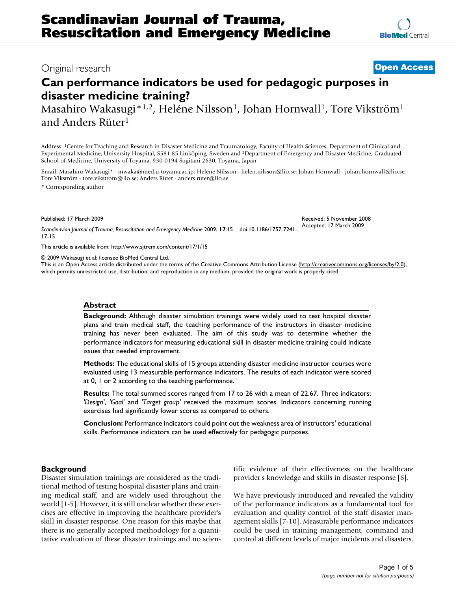# **Can performance indicators be used for pedagogic purposes in disaster medicine training?**

Masahiro Wakasugi\*<sup>1,2</sup>, Heléne Nilsson<sup>1</sup>, Johan Hornwall<sup>1</sup>, Tore Vikström<sup>1</sup> and Anders Rüter1

Address: 1Centre for Teaching and Research in Disaster Medicine and Traumatology, Faculty of Health Sciences, Department of Clinical and Experimental Medicine, University Hospital, S581 85 Linköping, Sweden and 2Department of Emergency and Disaster Medicine, Graduated School of Medicine, University of Toyama, 930-0194 Sugitani 2630, Toyama, Japan

Email: Masahiro Wakasugi\* - mwaka@med.u-toyama.ac.jp; Heléne Nilsson - helen.nilsson@lio.se; Johan Hornwall - johan.hornwall@lio.se; Tore Vikström - tore.vikstrom@lio.se; Anders Rüter - anders.ruter@lio.se

\* Corresponding author

Published: 17 March 2009

Received: 5 November 2008 Accepted: 17 March 2009

17-15

*Scandinavian Journal of Trauma, Resuscitation and Emergency Medicine* 2009, **17**:15 doi:10.1186/1757-7241-

[This article is available from: http://www.sjtrem.com/content/17/1/15](http://www.sjtrem.com/content/17/1/15)

© 2009 Wakasugi et al; licensee BioMed Central Ltd.

This is an Open Access article distributed under the terms of the Creative Commons Attribution License [\(http://creativecommons.org/licenses/by/2.0\)](http://creativecommons.org/licenses/by/2.0), which permits unrestricted use, distribution, and reproduction in any medium, provided the original work is properly cited.

# **Abstract**

**Background:** Although disaster simulation trainings were widely used to test hospital disaster plans and train medical staff, the teaching performance of the instructors in disaster medicine training has never been evaluated. The aim of this study was to determine whether the performance indicators for measuring educational skill in disaster medicine training could indicate issues that needed improvement.

**Methods:** The educational skills of 15 groups attending disaster medicine instructor courses were evaluated using 13 measurable performance indicators. The results of each indicator were scored at 0, 1 or 2 according to the teaching performance.

**Results:** The total summed scores ranged from 17 to 26 with a mean of 22.67. Three indicators: *'Design'*, *'Goal'* and *'Target group'* received the maximum scores. Indicators concerning running exercises had significantly lower scores as compared to others.

**Conclusion:** Performance indicators could point out the weakness area of instructors' educational skills. Performance indicators can be used effectively for pedagogic purposes.

# **Background**

Disaster simulation trainings are considered as the traditional method of testing hospital disaster plans and training medical staff, and are widely used throughout the world [\[1-](#page-4-0)[5](#page-4-1)]. However, it is still unclear whether these exercises are effective in improving the healthcare provider's skill in disaster response. One reason for this maybe that there is no generally accepted methodology for a quantitative evaluation of these disaster trainings and no scientific evidence of their effectiveness on the healthcare provider's knowledge and skills in disaster response [\[6\]](#page-4-2).

We have previously introduced and revealed the validity of the performance indicators as a fundamental tool for evaluation and quality control of the staff disaster management skills [\[7-](#page-4-3)[10\]](#page-4-4). Measurable performance indicators could be used in training management, command and control at different levels of major incidents and disasters.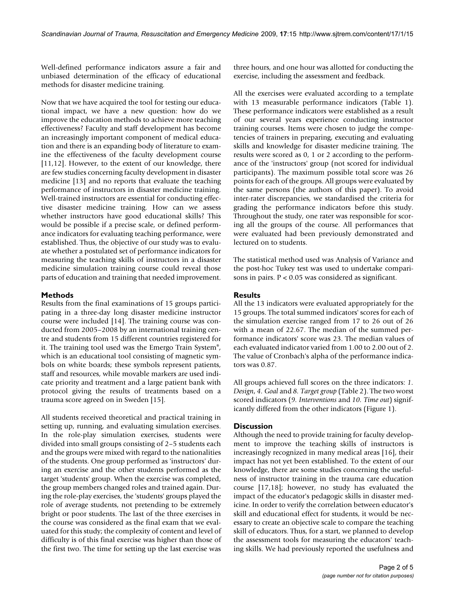Well-defined performance indicators assure a fair and unbiased determination of the efficacy of educational methods for disaster medicine training.

Now that we have acquired the tool for testing our educational impact, we have a new question: how do we improve the education methods to achieve more teaching effectiveness? Faculty and staff development has become an increasingly important component of medical education and there is an expanding body of literature to examine the effectiveness of the faculty development course [[11](#page-4-5),[12\]](#page-4-6). However, to the extent of our knowledge, there are few studies concerning faculty development in disaster medicine [[13\]](#page-4-7) and no reports that evaluate the teaching performance of instructors in disaster medicine training. Well-trained instructors are essential for conducting effective disaster medicine training. How can we assess whether instructors have good educational skills? This would be possible if a precise scale, or defined performance indicators for evaluating teaching performance, were established. Thus, the objective of our study was to evaluate whether a postulated set of performance indicators for measuring the teaching skills of instructors in a disaster medicine simulation training course could reveal those parts of education and training that needed improvement.

# **Methods**

Results from the final examinations of 15 groups participating in a three-day long disaster medicine instructor course were included [\[14](#page-4-8)]. The training course was conducted from 2005–2008 by an international training centre and students from 15 different countries registered for it. The training tool used was the Emergo Train System®, which is an educational tool consisting of magnetic symbols on white boards; these symbols represent patients, staff and resources, while movable markers are used indicate priority and treatment and a large patient bank with protocol giving the results of treatments based on a trauma score agreed on in Sweden [\[15\]](#page-4-9).

All students received theoretical and practical training in setting up, running, and evaluating simulation exercises. In the role-play simulation exercises, students were divided into small groups consisting of 2–5 students each and the groups were mixed with regard to the nationalities of the students. One group performed as 'instructors' during an exercise and the other students performed as the target 'students' group. When the exercise was completed, the group members changed roles and trained again. During the role-play exercises, the 'students' groups played the role of average students, not pretending to be extremely bright or poor students. The last of the three exercises in the course was considered as the final exam that we evaluated for this study; the complexity of content and level of difficulty is of this final exercise was higher than those of the first two. The time for setting up the last exercise was

three hours, and one hour was allotted for conducting the exercise, including the assessment and feedback.

All the exercises were evaluated according to a template with 13 measurable performance indicators (Table [1\)](#page-2-0). These performance indicators were established as a result of our several years experience conducting instructor training courses. Items were chosen to judge the competencies of trainers in preparing, executing and evaluating skills and knowledge for disaster medicine training. The results were scored as 0, 1 or 2 according to the performance of the 'instructors' group (not scored for individual participants). The maximum possible total score was 26 points for each of the groups. All groups were evaluated by the same persons (the authors of this paper). To avoid inter-rater discrepancies, we standardised the criteria for grading the performance indicators before this study. Throughout the study, one rater was responsible for scoring all the groups of the course. All performances that were evaluated had been previously demonstrated and lectured on to students.

The statistical method used was Analysis of Variance and the post-hoc Tukey test was used to undertake comparisons in pairs. P < 0.05 was considered as significant.

# **Results**

All the 13 indicators were evaluated appropriately for the 15 groups. The total summed indicators' scores for each of the simulation exercise ranged from 17 to 26 out of 26 with a mean of 22.67. The median of the summed performance indicators' score was 23. The median values of each evaluated indicator varied from 1.00 to 2.00 out of 2. The value of Cronbach's alpha of the performance indicators was 0.87.

All groups achieved full scores on the three indicators: *1. Design*, *4. Goal* and *8. Target group* (Table [2](#page-3-0)). The two worst scored indicators (*9. Interventions* and *10. Time out*) significantly differed from the other indicators (Figure [1](#page-3-1)).

# **Discussion**

Although the need to provide training for faculty development to improve the teaching skills of instructors is increasingly recognized in many medical areas [[16\]](#page-4-10), their impact has not yet been established. To the extent of our knowledge, there are some studies concerning the usefulness of instructor training in the trauma care education course [\[17](#page-4-11),[18](#page-4-12)]; however, no study has evaluated the impact of the educator's pedagogic skills in disaster medicine. In order to verify the correlation between educator's skill and educational effect for students, it would be necessary to create an objective scale to compare the teaching skill of educators. Thus, for a start, we planned to develop the assessment tools for measuring the educators' teaching skills. We had previously reported the usefulness and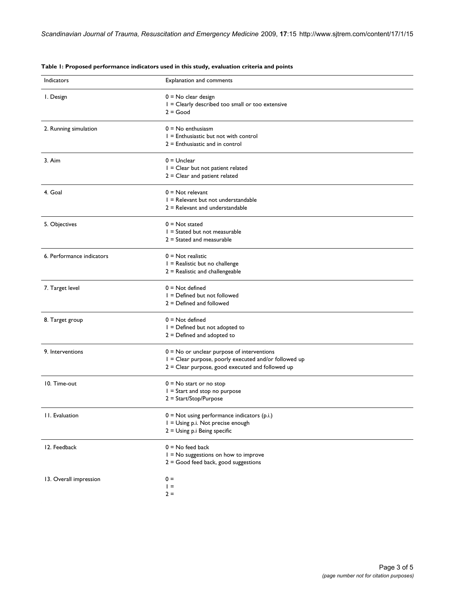| Indicators                | Explanation and comments                                                                                                                                    |
|---------------------------|-------------------------------------------------------------------------------------------------------------------------------------------------------------|
| I. Design                 | $0 = No$ clear design<br>$I = Clearly$ described too small or too extensive<br>$2 = Good$                                                                   |
| 2. Running simulation     | $0 = No$ enthusiasm<br>$I =$ Enthusiastic but not with control<br>$2$ = Enthusiastic and in control                                                         |
| 3. Aim                    | $0 =$ Unclear<br>$I = Clear$ but not patient related<br>$2 =$ Clear and patient related                                                                     |
| 4. Goal                   | $0 = Not$ relevant<br>I = Relevant but not understandable<br>$2 =$ Relevant and understandable                                                              |
| 5. Objectives             | $0 = Not stated$<br>$I =$ Stated but not measurable<br>$2 =$ Stated and measurable                                                                          |
| 6. Performance indicators | $0 =$ Not realistic<br>$I =$ Realistic but no challenge<br>$2$ = Realistic and challengeable                                                                |
| 7. Target level           | $0 = Not defined$<br>I = Defined but not followed<br>$2 = Defined$ and followed                                                                             |
| 8. Target group           | $0 = Not defined$<br>$I = Defined$ but not adopted to<br>$2 =$ Defined and adopted to                                                                       |
| 9. Interventions          | $0 = No$ or unclear purpose of interventions<br>I = Clear purpose, poorly executed and/or followed up<br>$2 =$ Clear purpose, good executed and followed up |
| 10. Time-out              | $0 = No$ start or no stop<br>$I =$ Start and stop no purpose<br>2 = Start/Stop/Purpose                                                                      |
| 11. Evaluation            | $0 =$ Not using performance indicators (p.i.)<br>I = Using p.i. Not precise enough<br>2 = Using p.i Being specific                                          |
| 12. Feedback              | $0 = No$ feed back<br>$I = No$ suggestions on how to improve<br>$2 = Good$ feed back, good suggestions                                                      |
| 13. Overall impression    | $0 =$<br>$=$<br>$2 =$                                                                                                                                       |

#### <span id="page-2-0"></span>**Table 1: Proposed performance indicators used in this study, evaluation criteria and points**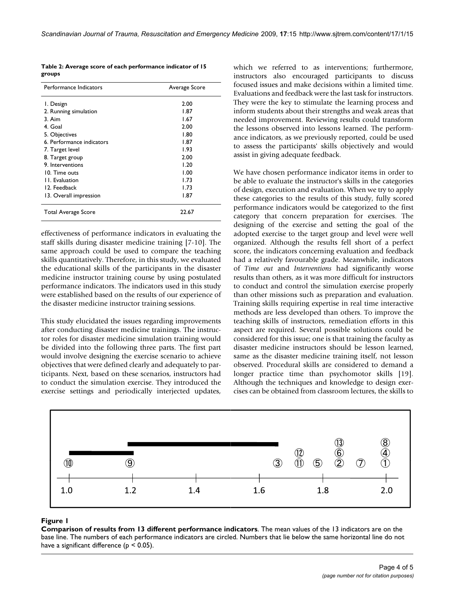<span id="page-3-0"></span>

| Table 2: Average score of each performance indicator of 15 |  |
|------------------------------------------------------------|--|
| groups                                                     |  |

| Performance Indicators    | Average Score |
|---------------------------|---------------|
| I. Design                 | 2.00          |
| 2. Running simulation     | 1.87          |
| $3.$ Aim                  | 1.67          |
| 4. Goal                   | 2.00          |
| 5. Objectives             | 1.80          |
| 6. Performance indicators | 1.87          |
| 7. Target level           | 1.93          |
| 8. Target group           | 2.00          |
| 9. Interventions          | 1.20          |
| 10. Time outs             | 1.00          |
| 11. Evaluation            | 1.73          |
| 12. Feedback              | 1.73          |
| 13. Overall impression    | 1.87          |
| Total Average Score       | 22.67         |

effectiveness of performance indicators in evaluating the staff skills during disaster medicine training [[7-](#page-4-3)[10\]](#page-4-4). The same approach could be used to compare the teaching skills quantitatively. Therefore, in this study, we evaluated the educational skills of the participants in the disaster medicine instructor training course by using postulated performance indicators. The indicators used in this study were established based on the results of our experience of the disaster medicine instructor training sessions.

This study elucidated the issues regarding improvements after conducting disaster medicine trainings. The instructor roles for disaster medicine simulation training would be divided into the following three parts. The first part would involve designing the exercise scenario to achieve objectives that were defined clearly and adequately to participants. Next, based on these scenarios, instructors had to conduct the simulation exercise. They introduced the exercise settings and periodically interjected updates, which we referred to as interventions; furthermore, instructors also encouraged participants to discuss focused issues and make decisions within a limited time. Evaluations and feedback were the last task for instructors. They were the key to stimulate the learning process and inform students about their strengths and weak areas that needed improvement. Reviewing results could transform the lessons observed into lessons learned. The performance indicators, as we previously reported, could be used to assess the participants' skills objectively and would assist in giving adequate feedback.

We have chosen performance indicator items in order to be able to evaluate the instructor's skills in the categories of design, execution and evaluation. When we try to apply these categories to the results of this study, fully scored performance indicators would be categorized to the first category that concern preparation for exercises. The designing of the exercise and setting the goal of the adopted exercise to the target group and level were well organized. Although the results fell short of a perfect score, the indicators concerning evaluation and feedback had a relatively favourable grade. Meanwhile, indicators of *Time out* and *Interventions* had significantly worse results than others, as it was more difficult for instructors to conduct and control the simulation exercise properly than other missions such as preparation and evaluation. Training skills requiring expertise in real time interactive methods are less developed than others. To improve the teaching skills of instructors, remediation efforts in this aspect are required. Several possible solutions could be considered for this issue; one is that training the faculty as disaster medicine instructors should be lesson learned, same as the disaster medicine training itself, not lesson observed. Procedural skills are considered to demand a longer practice time than psychomotor skills [\[19](#page-4-13)]. Although the techniques and knowledge to design exercises can be obtained from classroom lectures, the skills to

<span id="page-3-1"></span>

# **Figure 1**

**Comparison of results from 13 different performance indicators**. The mean values of the 13 indicators are on the base line. The numbers of each performance indicators are circled. Numbers that lie below the same horizontal line do not have a significant difference ( $p < 0.05$ ).